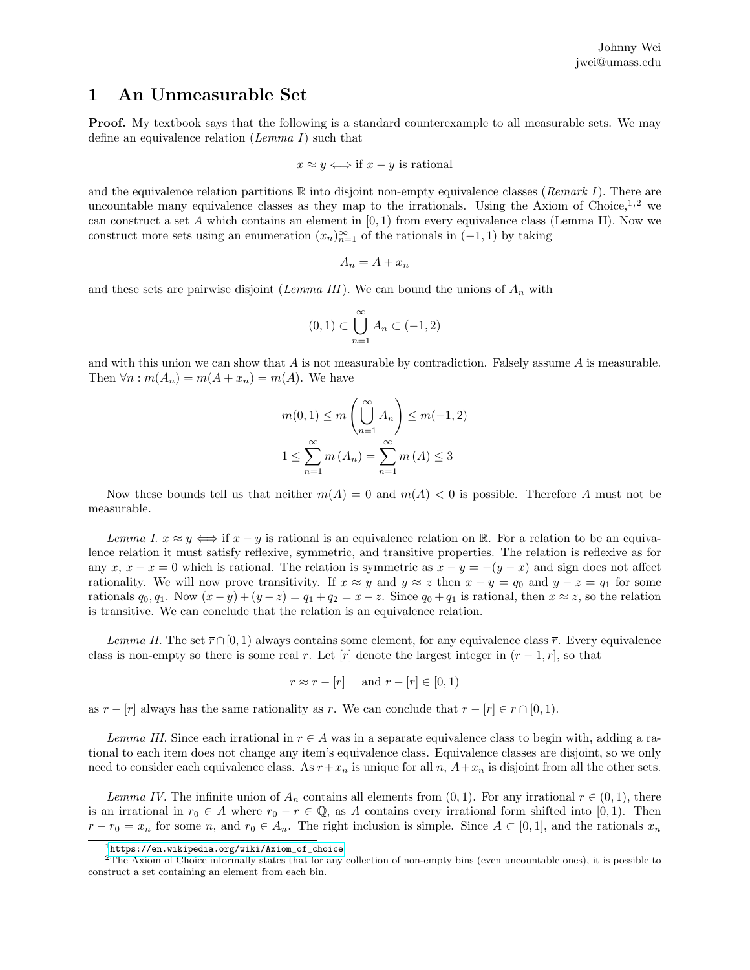## 1 An Unmeasurable Set

**Proof.** My textbook says that the following is a standard counterexample to all measurable sets. We may define an equivalence relation (Lemma I) such that

$$
x \approx y \iff \text{if } x - y \text{ is rational}
$$

and the equivalence relation partitions  $\mathbb R$  into disjoint non-empty equivalence classes (*Remark I*). There are uncountable many equivalence classes as they map to the irrationals. Using the Axiom of Choice,  $1,2$  we can construct a set  $A$  which contains an element in  $[0,1)$  from every equivalence class (Lemma II). Now we construct more sets using an enumeration  $(x_n)_{n=1}^{\infty}$  of the rationals in  $(-1,1)$  by taking

$$
A_n = A + x_n
$$

and these sets are pairwise disjoint (Lemma III). We can bound the unions of  $A_n$  with

$$
(0,1)\subset \bigcup_{n=1}^{\infty} A_n \subset (-1,2)
$$

and with this union we can show that  $A$  is not measurable by contradiction. Falsely assume  $A$  is measurable. Then  $\forall n : m(A_n) = m(A + x_n) = m(A)$ . We have

$$
m(0,1) \le m\left(\bigcup_{n=1}^{\infty} A_n\right) \le m(-1,2)
$$
  

$$
1 \le \sum_{n=1}^{\infty} m(A_n) = \sum_{n=1}^{\infty} m(A) \le 3
$$

Now these bounds tell us that neither  $m(A) = 0$  and  $m(A) < 0$  is possible. Therefore A must not be measurable.

Lemma I.  $x \approx y \iff$  if  $x - y$  is rational is an equivalence relation on R. For a relation to be an equivalence relation it must satisfy reflexive, symmetric, and transitive properties. The relation is reflexive as for any x,  $x - x = 0$  which is rational. The relation is symmetric as  $x - y = -(y - x)$  and sign does not affect rationality. We will now prove transitivity. If  $x \approx y$  and  $y \approx z$  then  $x - y = q_0$  and  $y - z = q_1$  for some rationals  $q_0, q_1$ . Now  $(x - y) + (y - z) = q_1 + q_2 = x - z$ . Since  $q_0 + q_1$  is rational, then  $x \approx z$ , so the relation is transitive. We can conclude that the relation is an equivalence relation.

Lemma II. The set  $\bar{r} \cap [0, 1)$  always contains some element, for any equivalence class  $\bar{r}$ . Every equivalence class is non-empty so there is some real r. Let  $|r|$  denote the largest integer in  $(r-1,r]$ , so that

$$
r \approx r - [r] \quad \text{and } r - [r] \in [0, 1)
$$

as  $r - [r]$  always has the same rationality as r. We can conclude that  $r - [r] \in \overline{r} \cap [0, 1)$ .

Lemma III. Since each irrational in  $r \in A$  was in a separate equivalence class to begin with, adding a rational to each item does not change any item's equivalence class. Equivalence classes are disjoint, so we only need to consider each equivalence class. As  $r+x_n$  is unique for all  $n$ ,  $A+x_n$  is disjoint from all the other sets.

Lemma IV. The infinite union of  $A_n$  contains all elements from  $(0, 1)$ . For any irrational  $r \in (0, 1)$ , there is an irrational in  $r_0 \in A$  where  $r_0 - r \in \mathbb{Q}$ , as A contains every irrational form shifted into [0,1]. Then  $r - r_0 = x_n$  for some n, and  $r_0 \in A_n$ . The right inclusion is simple. Since  $A \subset [0,1]$ , and the rationals  $x_n$ 

<sup>1</sup>[https://en.wikipedia.org/wiki/Axiom\\_of\\_choice](https://en.wikipedia.org/wiki/Axiom_of_choice)

 $2$ The Axiom of Choice informally states that for any collection of non-empty bins (even uncountable ones), it is possible to construct a set containing an element from each bin.